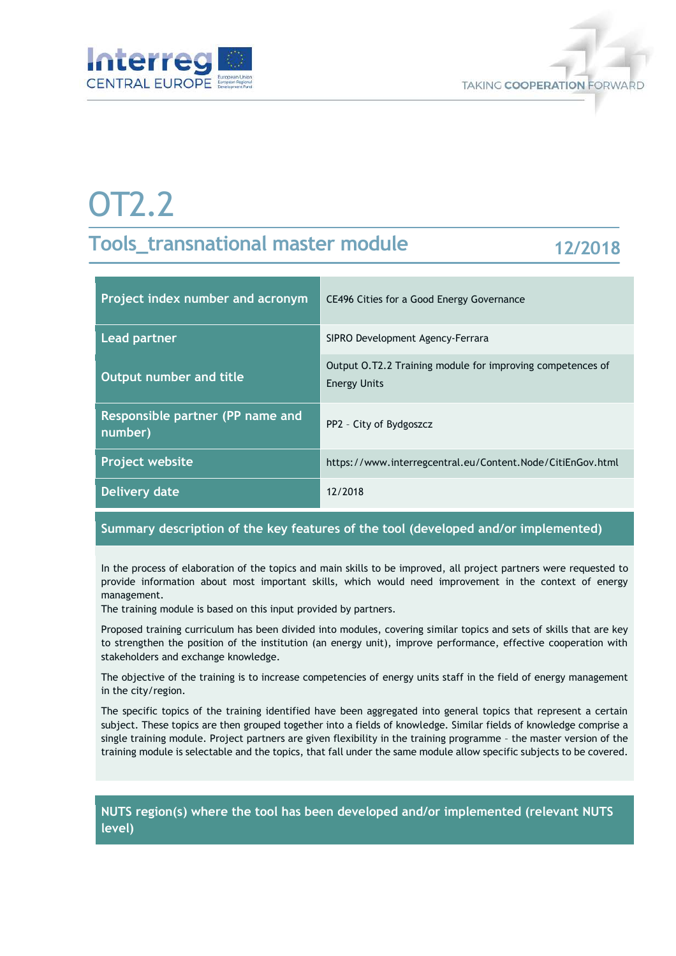



# OT2.2

## **Tools\_transnational master module**

### **12/2018**

| Project index number and acronym            | CE496 Cities for a Good Energy Governance                                         |
|---------------------------------------------|-----------------------------------------------------------------------------------|
| Lead partner                                | SIPRO Development Agency-Ferrara                                                  |
| <b>Output number and title</b>              | Output 0.T2.2 Training module for improving competences of<br><b>Energy Units</b> |
| Responsible partner (PP name and<br>number) | PP2 - City of Bydgoszcz                                                           |
| <b>Project website</b>                      | https://www.interregcentral.eu/Content.Node/CitiEnGov.html                        |
| Delivery date                               | 12/2018                                                                           |

#### **Summary description of the key features of the tool (developed and/or implemented)**

In the process of elaboration of the topics and main skills to be improved, all project partners were requested to provide information about most important skills, which would need improvement in the context of energy management.

The training module is based on this input provided by partners.

Proposed training curriculum has been divided into modules, covering similar topics and sets of skills that are key to strengthen the position of the institution (an energy unit), improve performance, effective cooperation with stakeholders and exchange knowledge.

The objective of the training is to increase competencies of energy units staff in the field of energy management in the city/region.

The specific topics of the training identified have been aggregated into general topics that represent a certain subject. These topics are then grouped together into a fields of knowledge. Similar fields of knowledge comprise a single training module. Project partners are given flexibility in the training programme – the master version of the training module is selectable and the topics, that fall under the same module allow specific subjects to be covered.

**NUTS region(s) where the tool has been developed and/or implemented (relevant NUTS level)**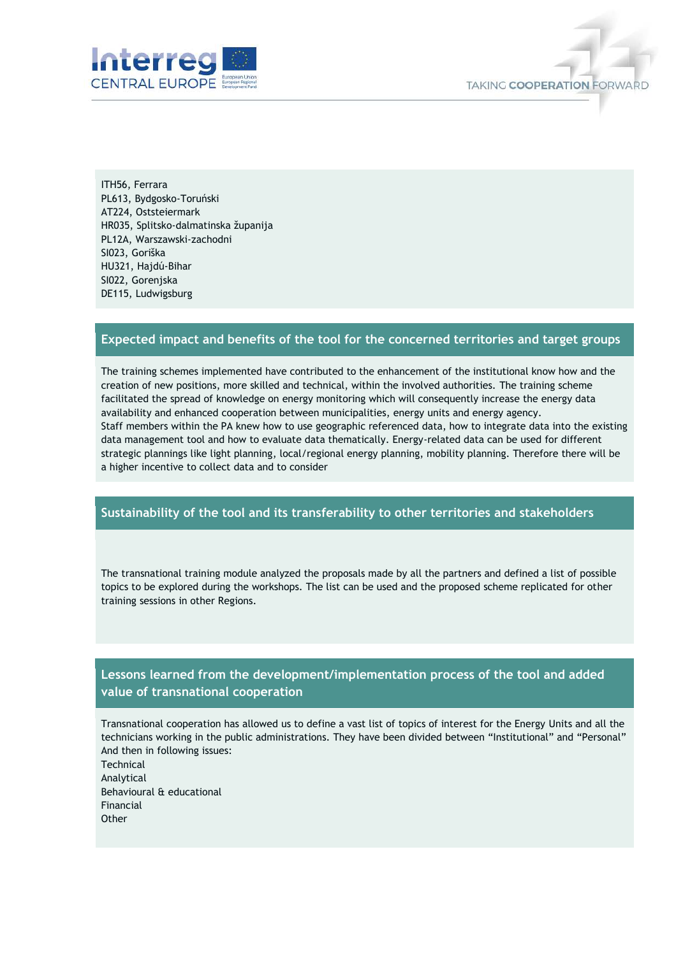



ITH56, Ferrara PL613, Bydgosko-Toruński AT224, Oststeiermark HR035, Splitsko-dalmatinska županija PL12A, Warszawski-zachodni SI023, Goriška HU321, Hajdú-Bihar SI022, Gorenjska DE115, Ludwigsburg

#### **Expected impact and benefits of the tool for the concerned territories and target groups**

The training schemes implemented have contributed to the enhancement of the institutional know how and the creation of new positions, more skilled and technical, within the involved authorities. The training scheme facilitated the spread of knowledge on energy monitoring which will consequently increase the energy data availability and enhanced cooperation between municipalities, energy units and energy agency. Staff members within the PA knew how to use geographic referenced data, how to integrate data into the existing data management tool and how to evaluate data thematically. Energy-related data can be used for different strategic plannings like light planning, local/regional energy planning, mobility planning. Therefore there will be a higher incentive to collect data and to consider

#### **Sustainability of the tool and its transferability to other territories and stakeholders**

The transnational training module analyzed the proposals made by all the partners and defined a list of possible topics to be explored during the workshops. The list can be used and the proposed scheme replicated for other training sessions in other Regions.

#### **Lessons learned from the development/implementation process of the tool and added value of transnational cooperation**

Transnational cooperation has allowed us to define a vast list of topics of interest for the Energy Units and all the technicians working in the public administrations. They have been divided between "Institutional" and "Personal" And then in following issues:

**Technical** Analytical Behavioural & educational Financial **Other**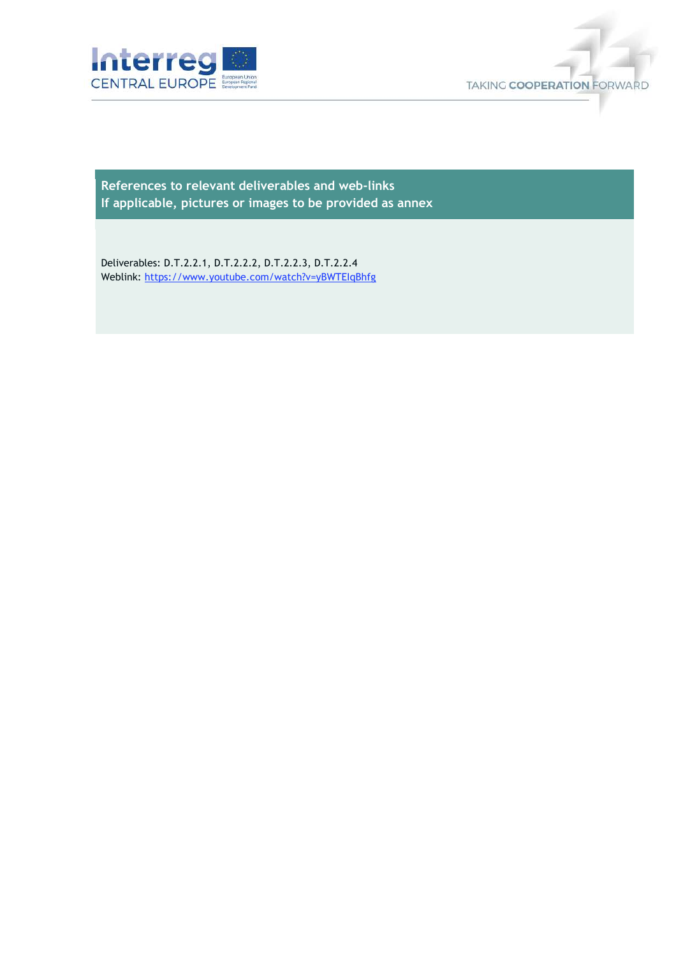



**References to relevant deliverables and web-links If applicable, pictures or images to be provided as annex**

Deliverables: D.T.2.2.1, D.T.2.2.2, D.T.2.2.3, D.T.2.2.4 Weblink: https://www.youtube.com/watch?v=yBWTEIqBhfg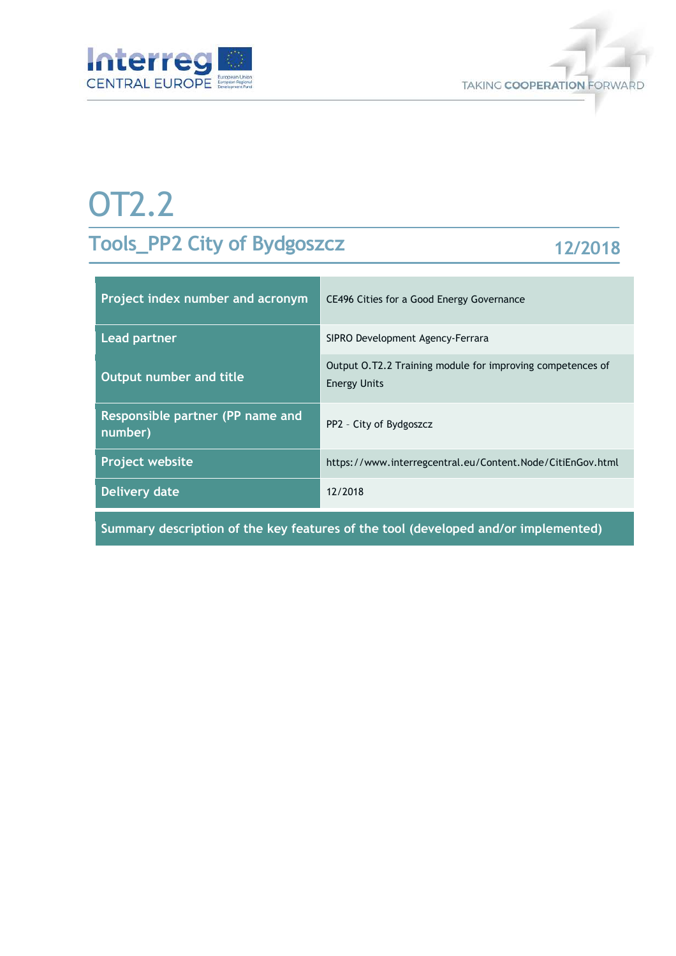



## OT2.2 **Tools\_PP2 City of Bydgoszcz**

### **12/2018**

| Project index number and acronym            | CE496 Cities for a Good Energy Governance                                         |
|---------------------------------------------|-----------------------------------------------------------------------------------|
| <b>Lead partner</b>                         | SIPRO Development Agency-Ferrara                                                  |
| <b>Output number and title</b>              | Output 0.T2.2 Training module for improving competences of<br><b>Energy Units</b> |
| Responsible partner (PP name and<br>number) | PP2 - City of Bydgoszcz                                                           |
| <b>Project website</b>                      | https://www.interregcentral.eu/Content.Node/CitiEnGov.html                        |
| Delivery date                               | 12/2018                                                                           |
|                                             |                                                                                   |

**Summary description of the key features of the tool (developed and/or implemented)**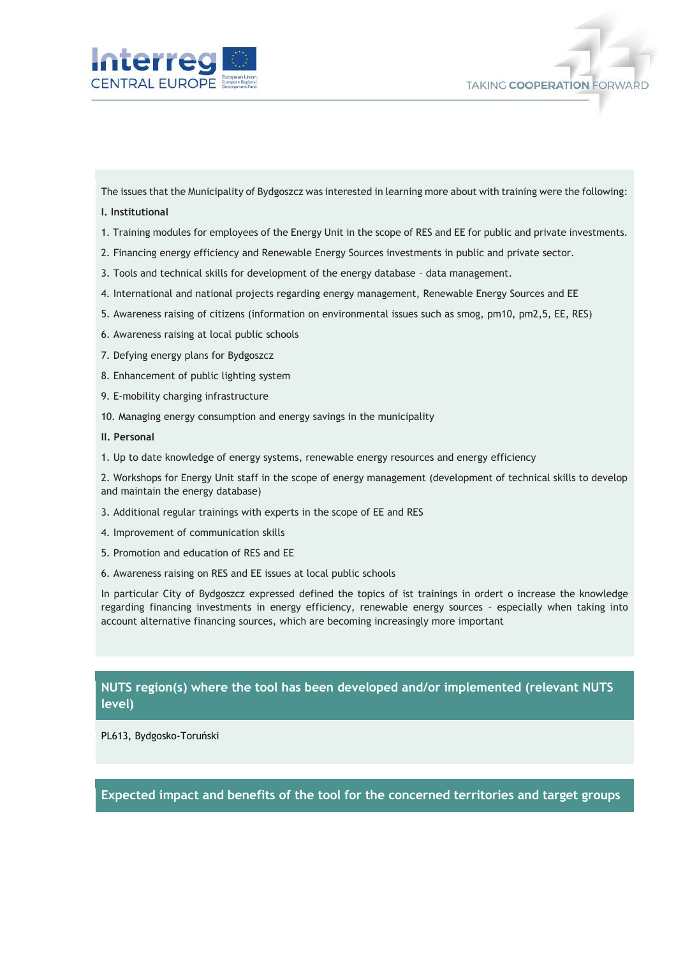



The issues that the Municipality of Bydgoszcz was interested in learning more about with training were the following:

#### **I. Institutional**

- 1. Training modules for employees of the Energy Unit in the scope of RES and EE for public and private investments.
- 2. Financing energy efficiency and Renewable Energy Sources investments in public and private sector.
- 3. Tools and technical skills for development of the energy database data management.
- 4. International and national projects regarding energy management, Renewable Energy Sources and EE
- 5. Awareness raising of citizens (information on environmental issues such as smog, pm10, pm2,5, EE, RES)
- 6. Awareness raising at local public schools
- 7. Defying energy plans for Bydgoszcz
- 8. Enhancement of public lighting system
- 9. E-mobility charging infrastructure
- 10. Managing energy consumption and energy savings in the municipality

**II. Personal** 

1. Up to date knowledge of energy systems, renewable energy resources and energy efficiency

2. Workshops for Energy Unit staff in the scope of energy management (development of technical skills to develop and maintain the energy database)

- 3. Additional regular trainings with experts in the scope of EE and RES
- 4. Improvement of communication skills
- 5. Promotion and education of RES and EE
- 6. Awareness raising on RES and EE issues at local public schools

In particular City of Bydgoszcz expressed defined the topics of ist trainings in ordert o increase the knowledge regarding financing investments in energy efficiency, renewable energy sources – especially when taking into account alternative financing sources, which are becoming increasingly more important

**NUTS region(s) where the tool has been developed and/or implemented (relevant NUTS level)**

PL613, Bydgosko-Toruński

**Expected impact and benefits of the tool for the concerned territories and target groups**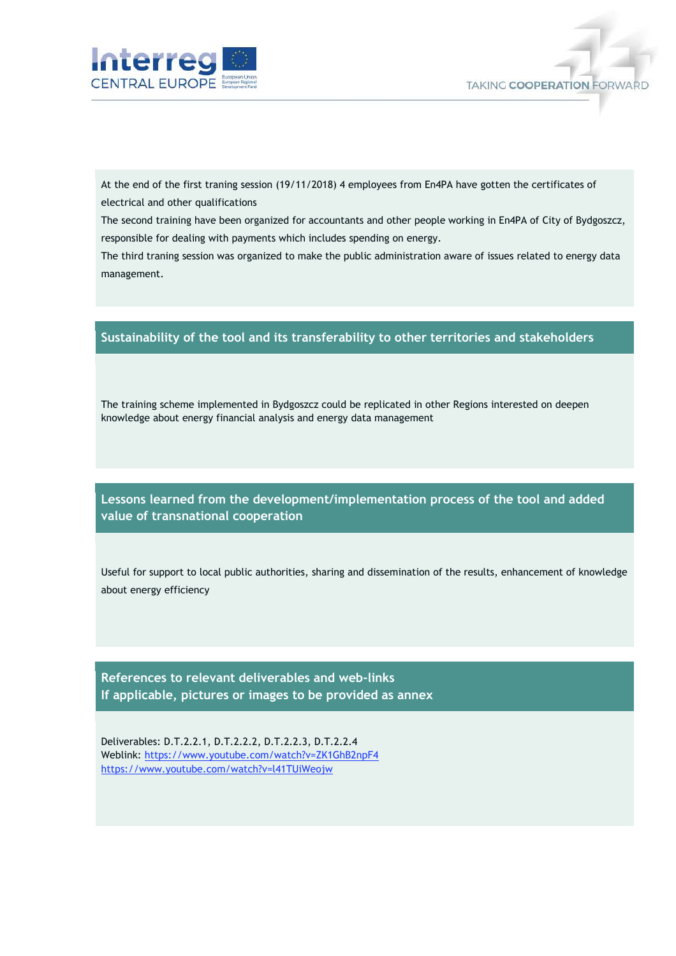



At the end of the first traning session (19/11/2018) 4 employees from En4PA have gotten the certificates of electrical and other qualifications

The second training have been organized for accountants and other people working in En4PA of City of Bydgoszcz, responsible for dealing with payments which includes spending on energy.

The third traning session was organized to make the public administration aware of issues related to energy data management.

#### **Sustainability of the tool and its transferability to other territories and stakeholders**

The training scheme implemented in Bydgoszcz could be replicated in other Regions interested on deepen knowledge about energy financial analysis and energy data management

**Lessons learned from the development/implementation process of the tool and added value of transnational cooperation**

Useful for support to local public authorities, sharing and dissemination of the results, enhancement of knowledge about energy efficiency

**References to relevant deliverables and web-links If applicable, pictures or images to be provided as annex**

Deliverables: D.T.2.2.1, D.T.2.2.2, D.T.2.2.3, D.T.2.2.4 Weblink: https://www.youtube.com/watch?v=ZK1GhB2npF4 https://www.youtube.com/watch?v=l41TUiWeojw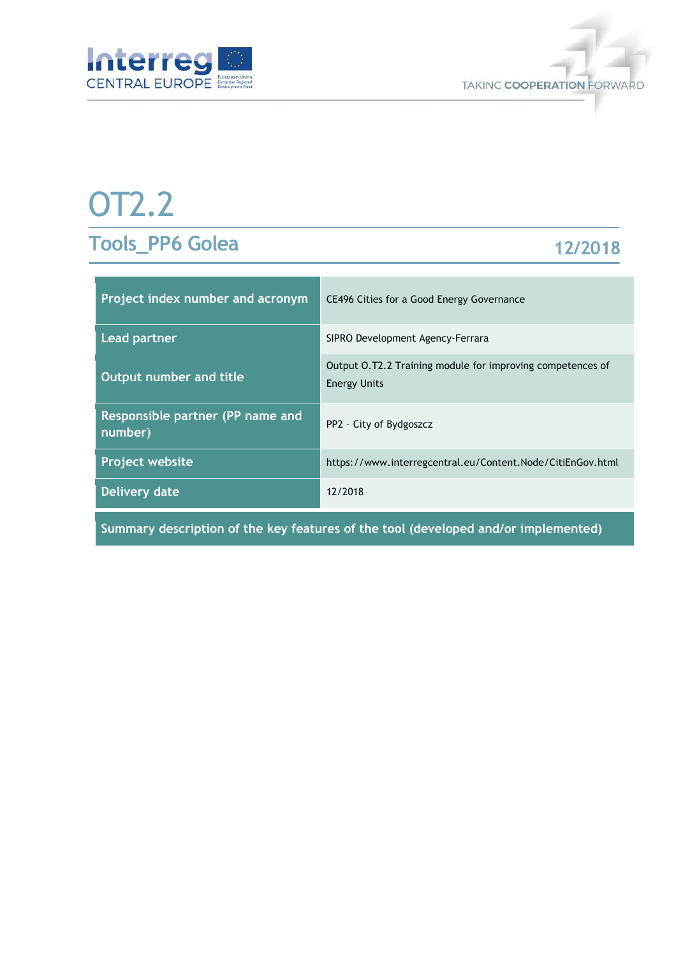



## OT2.2 **Tools\_PP6 Golea**

### **12/2018**

| Project index number and acronym            | CE496 Cities for a Good Energy Governance                                         |
|---------------------------------------------|-----------------------------------------------------------------------------------|
| <b>Lead partner</b>                         | SIPRO Development Agency-Ferrara                                                  |
| <b>Output number and title</b>              | Output 0.T2.2 Training module for improving competences of<br><b>Energy Units</b> |
| Responsible partner (PP name and<br>number) | PP2 - City of Bydgoszcz                                                           |
| <b>Project website</b>                      | https://www.interregcentral.eu/Content.Node/CitiEnGov.html                        |
| Delivery date                               | 12/2018                                                                           |
|                                             |                                                                                   |

**Summary description of the key features of the tool (developed and/or implemented)**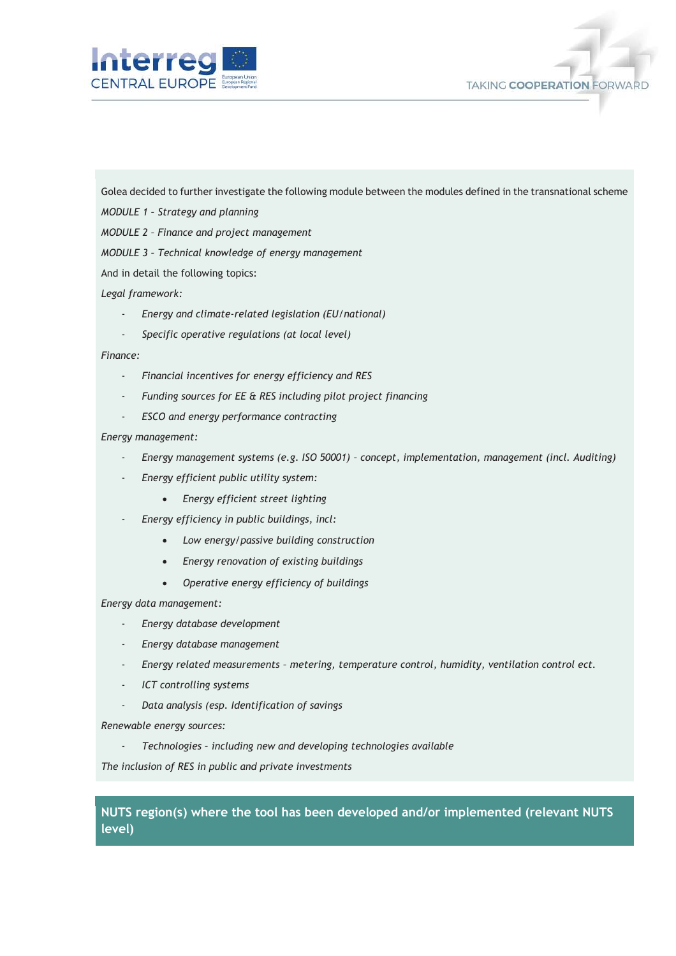



Golea decided to further investigate the following module between the modules defined in the transnational scheme

*MODULE 1 – Strategy and planning* 

*MODULE 2 – Finance and project management* 

*MODULE 3 – Technical knowledge of energy management* 

And in detail the following topics:

*Legal framework:*

- *Energy and climate-related legislation (EU/national)*
- *Specific operative regulations (at local level)*

#### *Finance:*

- *Financial incentives for energy efficiency and RES*
- *Funding sources for EE & RES including pilot project financing*
- *ESCO and energy performance contracting*

*Energy management:*

- *Energy management systems (e.g. ISO 50001) – concept, implementation, management (incl. Auditing)*
- *Energy efficient public utility system:* 
	- · *Energy efficient street lighting*
- *Energy efficiency in public buildings, incl:* 
	- · *Low energy/passive building construction*
	- · *Energy renovation of existing buildings*
	- · *Operative energy efficiency of buildings*

*Energy data management:* 

- *Energy database development*
- *Energy database management*
- *Energy related measurements – metering, temperature control, humidity, ventilation control ect.*
- *ICT controlling systems*
- *Data analysis (esp. Identification of savings*

*Renewable energy sources:*

- *Technologies – including new and developing technologies available* 

*The inclusion of RES in public and private investments*

**NUTS region(s) where the tool has been developed and/or implemented (relevant NUTS level)**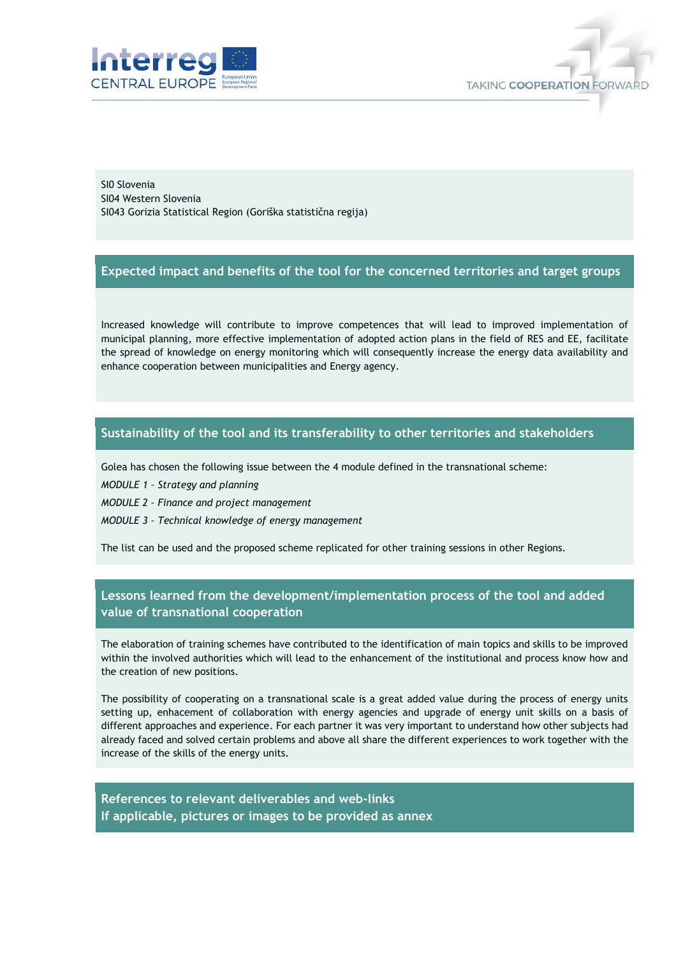



SI0 Slovenia SI04 Western Slovenia SI043 Gorizia Statistical Region (Goriška statistična regija)

#### **Expected impact and benefits of the tool for the concerned territories and target groups**

Increased knowledge will contribute to improve competences that will lead to improved implementation of municipal planning, more effective implementation of adopted action plans in the field of RES and EE, facilitate the spread of knowledge on energy monitoring which will consequently increase the energy data availability and enhance cooperation between municipalities and Energy agency.

#### **Sustainability of the tool and its transferability to other territories and stakeholders**

Golea has chosen the following issue between the 4 module defined in the transnational scheme:

*MODULE 1 – Strategy and planning* 

*MODULE 2 – Finance and project management* 

*MODULE 3 – Technical knowledge of energy management* 

The list can be used and the proposed scheme replicated for other training sessions in other Regions.

#### **Lessons learned from the development/implementation process of the tool and added value of transnational cooperation**

The elaboration of training schemes have contributed to the identification of main topics and skills to be improved within the involved authorities which will lead to the enhancement of the institutional and process know how and the creation of new positions.

The possibility of cooperating on a transnational scale is a great added value during the process of energy units setting up, enhacement of collaboration with energy agencies and upgrade of energy unit skills on a basis of different approaches and experience. For each partner it was very important to understand how other subjects had already faced and solved certain problems and above all share the different experiences to work together with the increase of the skills of the energy units.

**References to relevant deliverables and web-links If applicable, pictures or images to be provided as annex**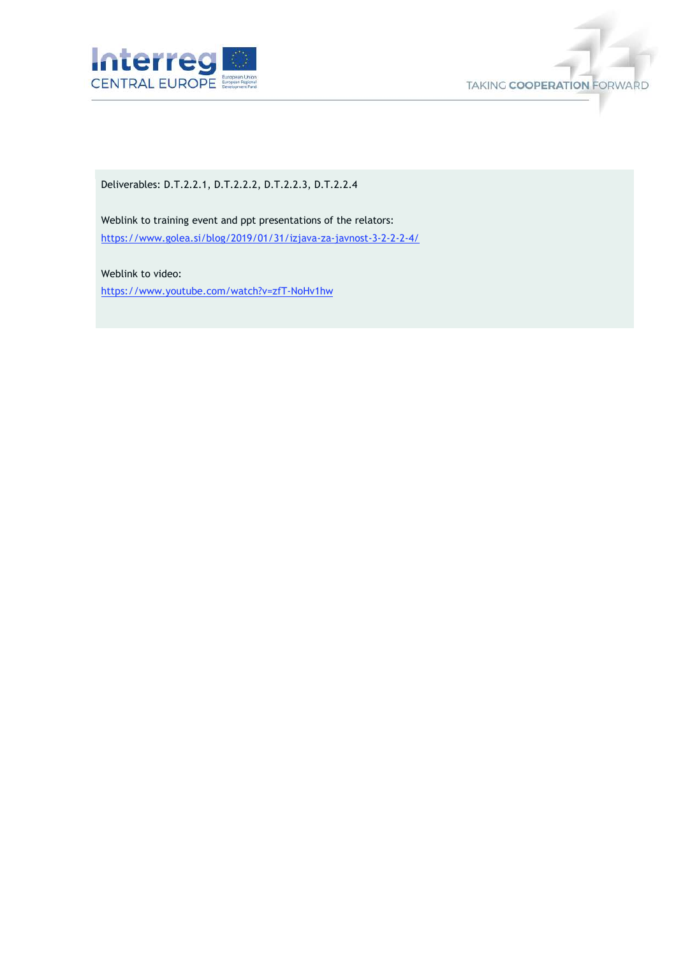



Deliverables: D.T.2.2.1, D.T.2.2.2, D.T.2.2.3, D.T.2.2.4

Weblink to training event and ppt presentations of the relators: https://www.golea.si/blog/2019/01/31/izjava-za-javnost-3-2-2-2-4/

Weblink to video: https://www.youtube.com/watch?v=zfT-NoHv1hw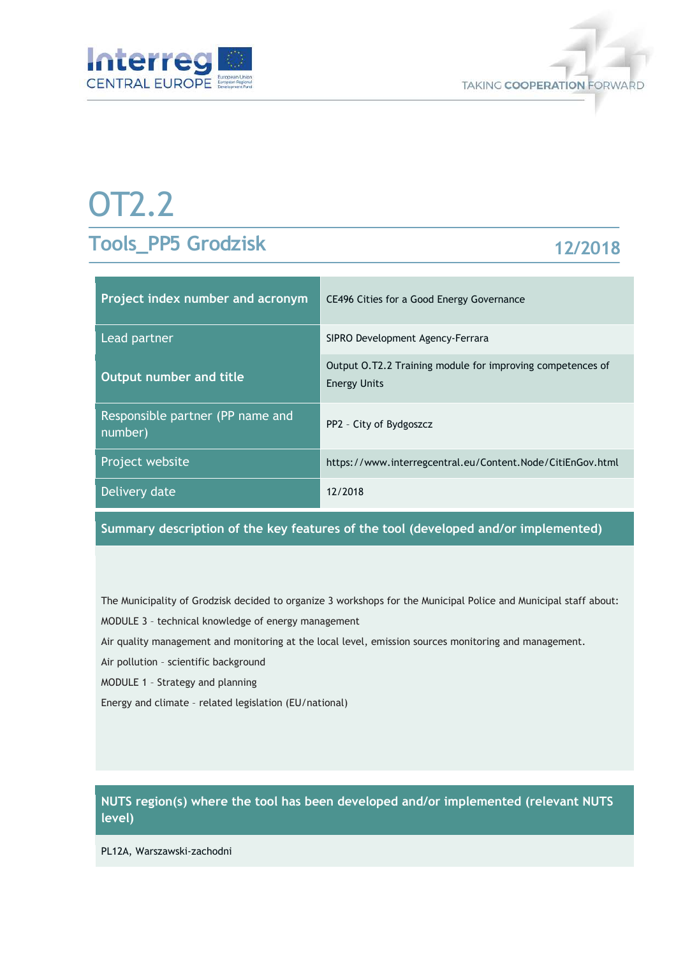



## OT2.2 **Tools\_PP5 Grodzisk**

### **12/2018**

| Project index number and acronym            | CE496 Cities for a Good Energy Governance                                         |
|---------------------------------------------|-----------------------------------------------------------------------------------|
| Lead partner                                | SIPRO Development Agency-Ferrara                                                  |
| <b>Output number and title</b>              | Output 0.T2.2 Training module for improving competences of<br><b>Energy Units</b> |
| Responsible partner (PP name and<br>number) | PP2 - City of Bydgoszcz                                                           |
| Project website                             | https://www.interregcentral.eu/Content.Node/CitiEnGov.html                        |
| Delivery date                               | 12/2018                                                                           |

#### **Summary description of the key features of the tool (developed and/or implemented)**

The Municipality of Grodzisk decided to organize 3 workshops for the Municipal Police and Municipal staff about: MODULE 3 – technical knowledge of energy management

Air quality management and monitoring at the local level, emission sources monitoring and management.

Air pollution – scientific background

MODULE 1 – Strategy and planning

Energy and climate – related legislation (EU/national)

#### **NUTS region(s) where the tool has been developed and/or implemented (relevant NUTS level)**

PL12A, Warszawski-zachodni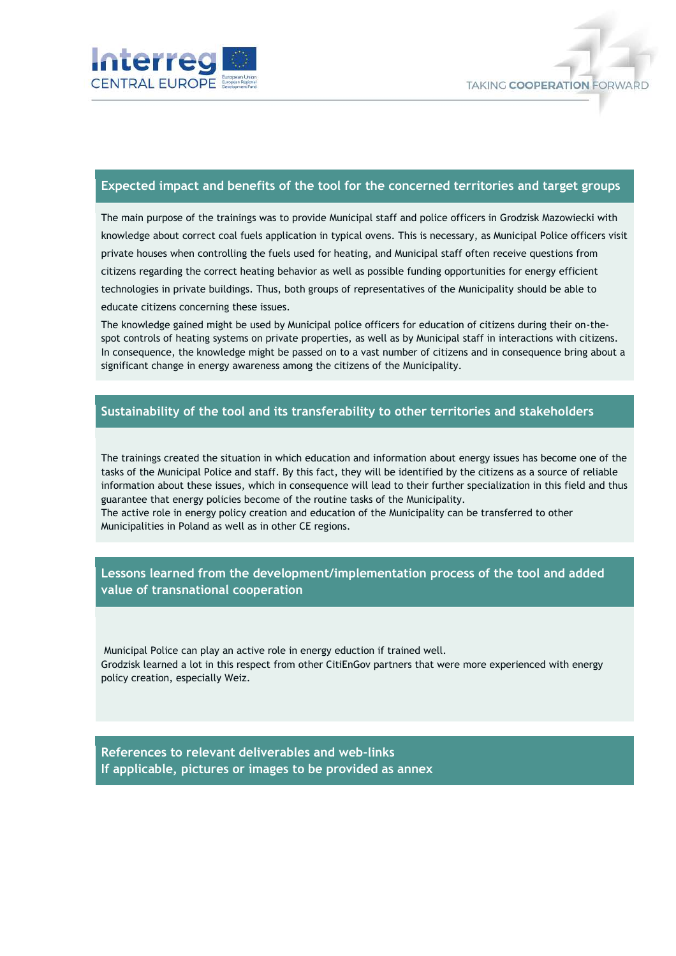



#### **Expected impact and benefits of the tool for the concerned territories and target groups**

The main purpose of the trainings was to provide Municipal staff and police officers in Grodzisk Mazowiecki with knowledge about correct coal fuels application in typical ovens. This is necessary, as Municipal Police officers visit private houses when controlling the fuels used for heating, and Municipal staff often receive questions from citizens regarding the correct heating behavior as well as possible funding opportunities for energy efficient technologies in private buildings. Thus, both groups of representatives of the Municipality should be able to educate citizens concerning these issues.

The knowledge gained might be used by Municipal police officers for education of citizens during their on-thespot controls of heating systems on private properties, as well as by Municipal staff in interactions with citizens. In consequence, the knowledge might be passed on to a vast number of citizens and in consequence bring about a significant change in energy awareness among the citizens of the Municipality.

#### **Sustainability of the tool and its transferability to other territories and stakeholders**

The trainings created the situation in which education and information about energy issues has become one of the tasks of the Municipal Police and staff. By this fact, they will be identified by the citizens as a source of reliable information about these issues, which in consequence will lead to their further specialization in this field and thus guarantee that energy policies become of the routine tasks of the Municipality.

The active role in energy policy creation and education of the Municipality can be transferred to other Municipalities in Poland as well as in other CE regions.

#### **Lessons learned from the development/implementation process of the tool and added value of transnational cooperation**

Municipal Police can play an active role in energy eduction if trained well. Grodzisk learned a lot in this respect from other CitiEnGov partners that were more experienced with energy policy creation, especially Weiz.

**References to relevant deliverables and web-links If applicable, pictures or images to be provided as annex**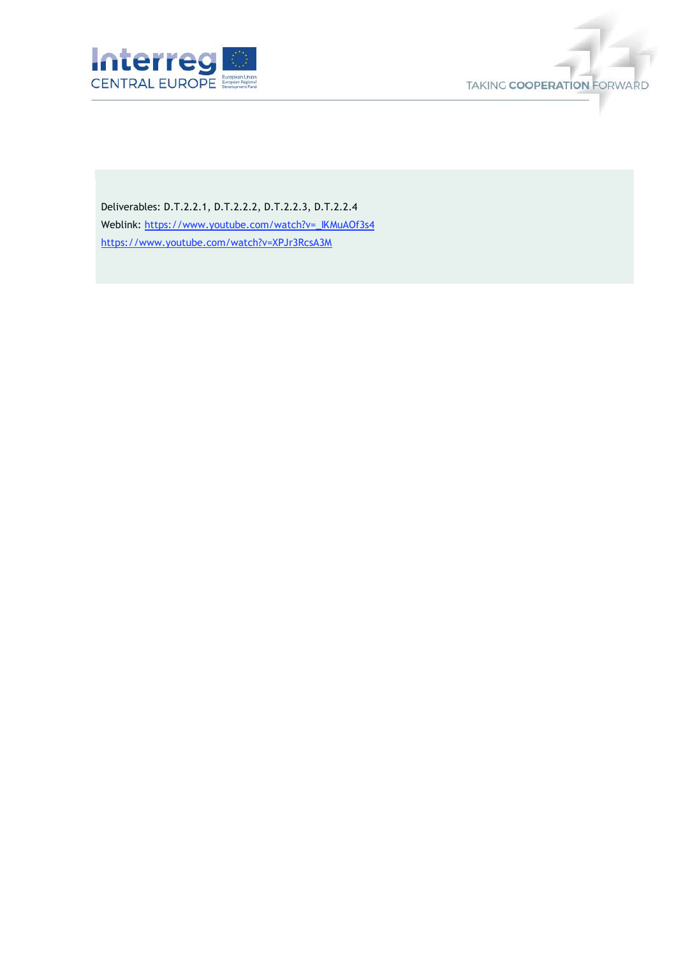



Deliverables: D.T.2.2.1, D.T.2.2.2, D.T.2.2.3, D.T.2.2.4 Weblink: https://www.youtube.com/watch?v=\_IKMuAOf3s4 https://www.youtube.com/watch?v=XPJr3RcsA3M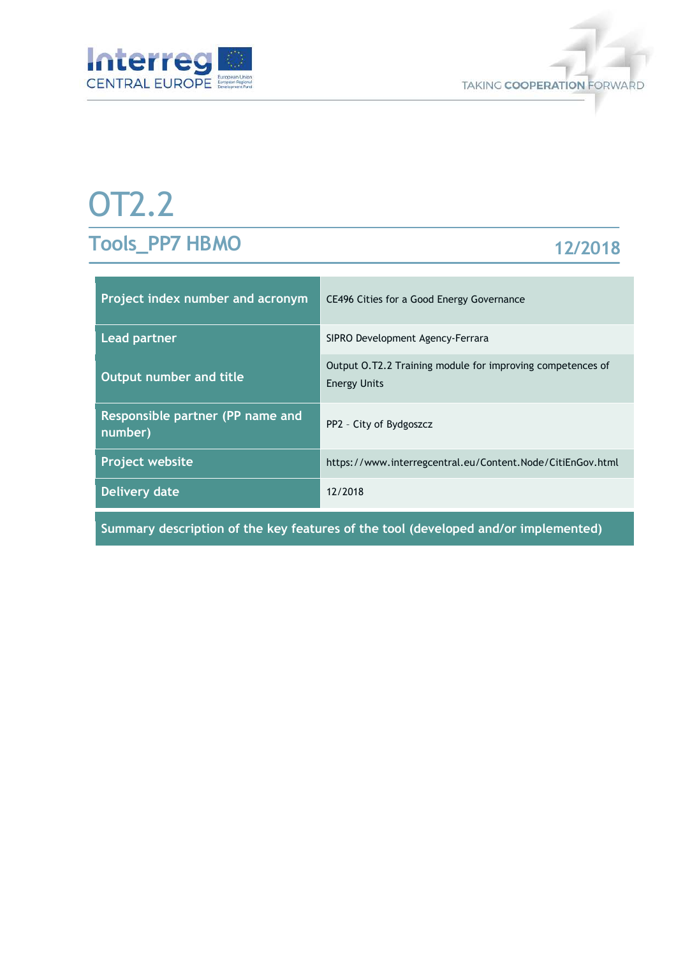



## OT2.2 **Tools\_PP7 HBMO**

### **12/2018**

| Project index number and acronym            | CE496 Cities for a Good Energy Governance                                         |
|---------------------------------------------|-----------------------------------------------------------------------------------|
| <b>Lead partner</b>                         | SIPRO Development Agency-Ferrara                                                  |
| Output number and title                     | Output 0.T2.2 Training module for improving competences of<br><b>Energy Units</b> |
| Responsible partner (PP name and<br>number) | PP2 - City of Bydgoszcz                                                           |
| <b>Project website</b>                      | https://www.interregcentral.eu/Content.Node/CitiEnGov.html                        |
| Delivery date                               | 12/2018                                                                           |
|                                             |                                                                                   |

**Summary description of the key features of the tool (developed and/or implemented)**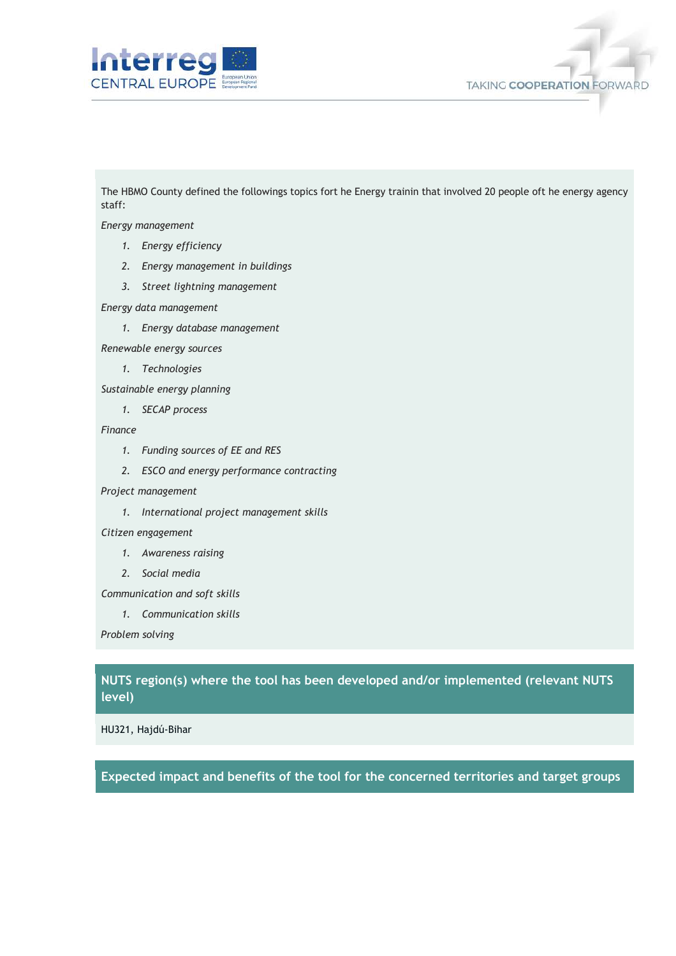



The HBMO County defined the followings topics fort he Energy trainin that involved 20 people oft he energy agency staff:

#### *Energy management*

- *1. Energy efficiency*
- *2. Energy management in buildings*
- *3. Street lightning management*

*Energy data management*

*1. Energy database management* 

*Renewable energy sources*

*1. Technologies* 

*Sustainable energy planning*

*1. SECAP process* 

#### *Finance*

- *1. Funding sources of EE and RES*
- *2. ESCO and energy performance contracting*

#### *Project management*

*1. International project management skills* 

#### *Citizen engagement*

- *1. Awareness raising*
- *2. Social media*

*Communication and soft skills*

*1. Communication skills* 

*Problem solving*

**NUTS region(s) where the tool has been developed and/or implemented (relevant NUTS level)**

HU321, Hajdú-Bihar

**Expected impact and benefits of the tool for the concerned territories and target groups**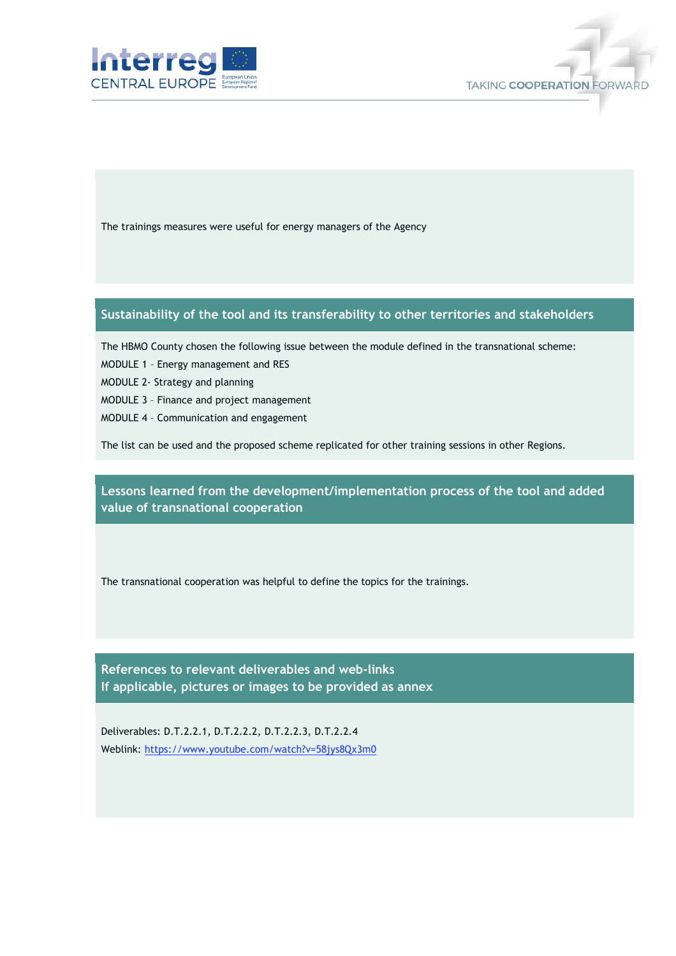



The trainings measures were useful for energy managers of the Agency

#### **Sustainability of the tool and its transferability to other territories and stakeholders**

The HBMO County chosen the following issue between the module defined in the transnational scheme:

MODULE 1 – Energy management and RES

- MODULE 2- Strategy and planning
- MODULE 3 Finance and project management
- MODULE 4 Communication and engagement

The list can be used and the proposed scheme replicated for other training sessions in other Regions.

**Lessons learned from the development/implementation process of the tool and added value of transnational cooperation** 

The transnational cooperation was helpful to define the topics for the trainings.

**References to relevant deliverables and web-links If applicable, pictures or images to be provided as annex**

Deliverables: D.T.2.2.1, D.T.2.2.2, D.T.2.2.3, D.T.2.2.4 Weblink: https://www.youtube.com/watch?v=58jys8Qx3m0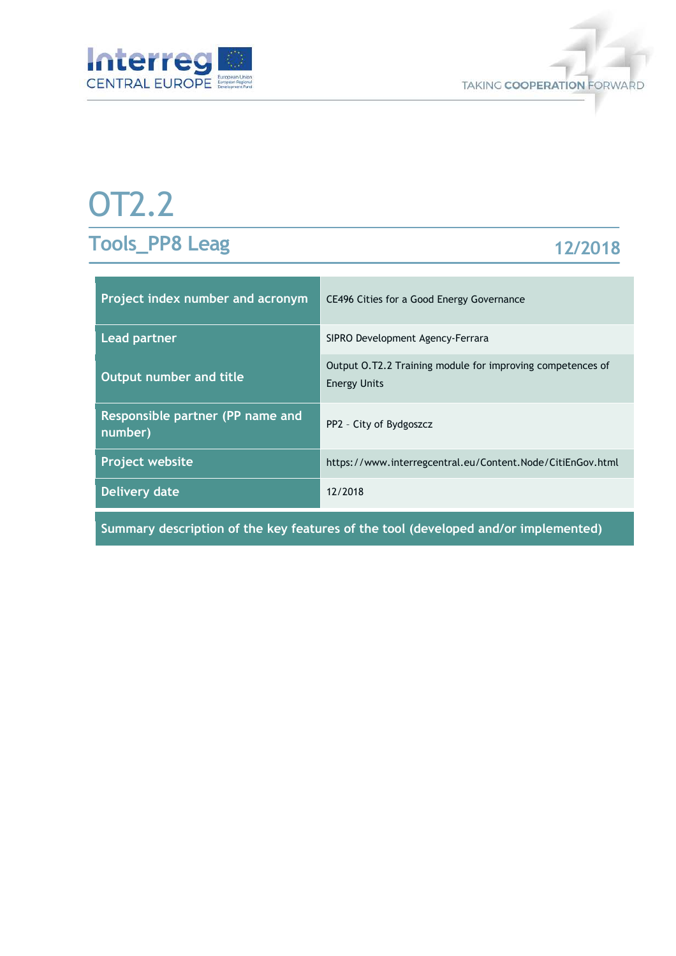



## OT2.2 **Tools\_PP8 Leag**

## **12/2018**

| Project index number and acronym            | CE496 Cities for a Good Energy Governance                                         |
|---------------------------------------------|-----------------------------------------------------------------------------------|
| <b>Lead partner</b>                         | SIPRO Development Agency-Ferrara                                                  |
| <b>Output number and title</b>              | Output 0.T2.2 Training module for improving competences of<br><b>Energy Units</b> |
| Responsible partner (PP name and<br>number) | PP2 - City of Bydgoszcz                                                           |
| <b>Project website</b>                      | https://www.interregcentral.eu/Content.Node/CitiEnGov.html                        |
| Delivery date                               | 12/2018                                                                           |
|                                             |                                                                                   |

**Summary description of the key features of the tool (developed and/or implemented)**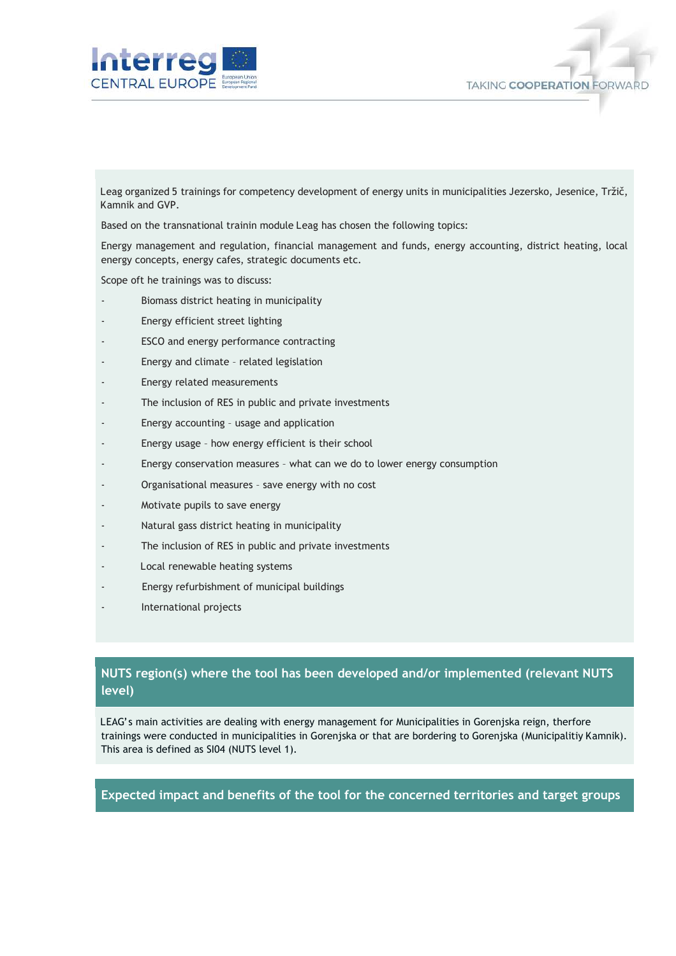



Leag organized 5 trainings for competency development of energy units in municipalities Jezersko, Jesenice, Tržič, Kamnik and GVP.

Based on the transnational trainin module Leag has chosen the following topics:

Energy management and regulation, financial management and funds, energy accounting, district heating, local energy concepts, energy cafes, strategic documents etc.

Scope oft he trainings was to discuss:

- Biomass district heating in municipality
- Energy efficient street lighting
- ESCO and energy performance contracting
- Energy and climate related legislation
- Energy related measurements
- The inclusion of RES in public and private investments
- Energy accounting usage and application
- Energy usage how energy efficient is their school
- Energy conservation measures what can we do to lower energy consumption
- Organisational measures save energy with no cost
- Motivate pupils to save energy
- Natural gass district heating in municipality
- The inclusion of RES in public and private investments
- Local renewable heating systems
- Energy refurbishment of municipal buildings
- International projects

#### **NUTS region(s) where the tool has been developed and/or implemented (relevant NUTS level)**

LEAG's main activities are dealing with energy management for Municipalities in Gorenjska reign, therfore trainings were conducted in municipalities in Gorenjska or that are bordering to Gorenjska (Municipalitiy Kamnik). This area is defined as SI04 (NUTS level 1).

**Expected impact and benefits of the tool for the concerned territories and target groups**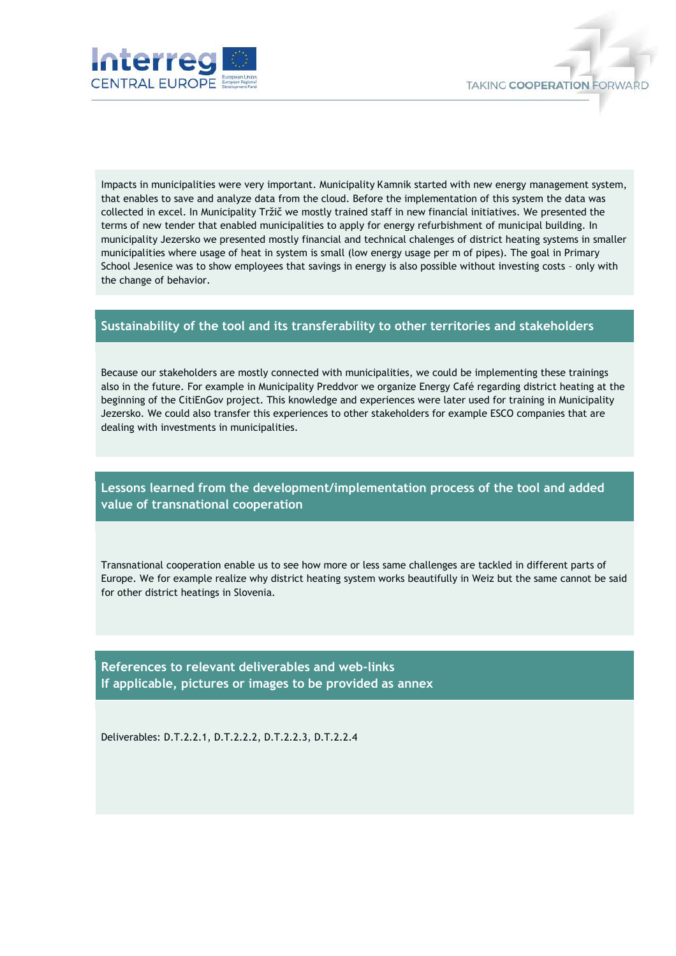



Impacts in municipalities were very important. Municipality Kamnik started with new energy management system, that enables to save and analyze data from the cloud. Before the implementation of this system the data was collected in excel. In Municipality Tržič we mostly trained staff in new financial initiatives. We presented the terms of new tender that enabled municipalities to apply for energy refurbishment of municipal building. In municipality Jezersko we presented mostly financial and technical chalenges of district heating systems in smaller municipalities where usage of heat in system is small (low energy usage per m of pipes). The goal in Primary School Jesenice was to show employees that savings in energy is also possible without investing costs – only with the change of behavior.

#### **Sustainability of the tool and its transferability to other territories and stakeholders**

Because our stakeholders are mostly connected with municipalities, we could be implementing these trainings also in the future. For example in Municipality Preddvor we organize Energy Café regarding district heating at the beginning of the CitiEnGov project. This knowledge and experiences were later used for training in Municipality Jezersko. We could also transfer this experiences to other stakeholders for example ESCO companies that are dealing with investments in municipalities.

**Lessons learned from the development/implementation process of the tool and added value of transnational cooperation**

Transnational cooperation enable us to see how more or less same challenges are tackled in different parts of Europe. We for example realize why district heating system works beautifully in Weiz but the same cannot be said for other district heatings in Slovenia.

**References to relevant deliverables and web-links If applicable, pictures or images to be provided as annex**

Deliverables: D.T.2.2.1, D.T.2.2.2, D.T.2.2.3, D.T.2.2.4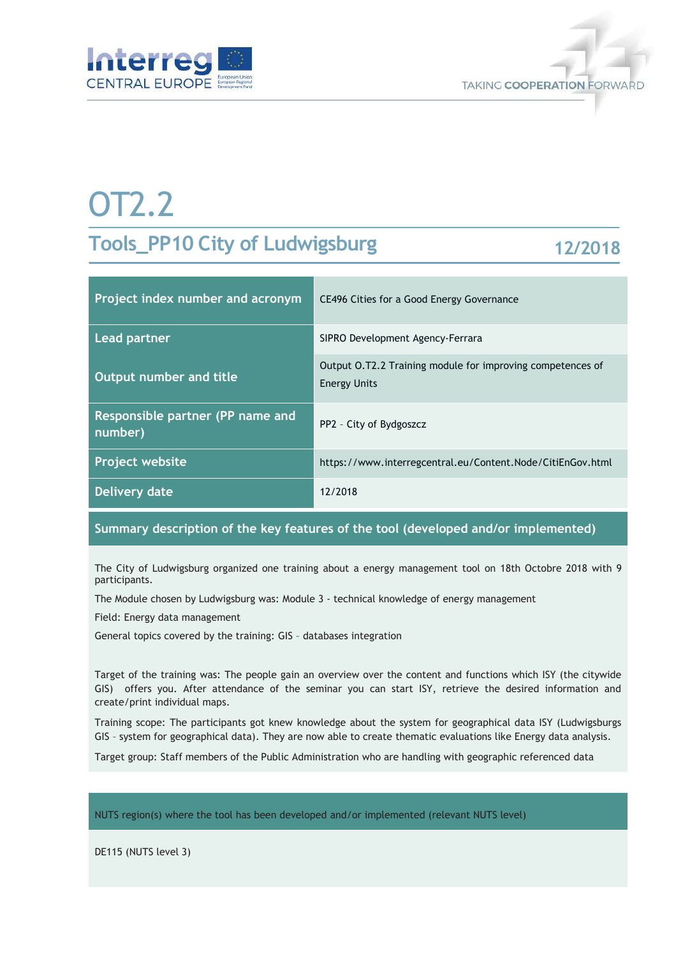



## OT2.2 **Tools\_PP10 City of Ludwigsburg**

### **12/2018**

| Project index number and acronym            | CE496 Cities for a Good Energy Governance                                         |
|---------------------------------------------|-----------------------------------------------------------------------------------|
| <b>Lead partner</b>                         | SIPRO Development Agency-Ferrara                                                  |
| <b>Output number and title</b>              | Output 0.T2.2 Training module for improving competences of<br><b>Energy Units</b> |
| Responsible partner (PP name and<br>number) | PP2 - City of Bydgoszcz                                                           |
| <b>Project website</b>                      | https://www.interregcentral.eu/Content.Node/CitiEnGov.html                        |
| Delivery date                               | 12/2018                                                                           |

#### **Summary description of the key features of the tool (developed and/or implemented)**

The City of Ludwigsburg organized one training about a energy management tool on 18th Octobre 2018 with 9 participants.

The Module chosen by Ludwigsburg was: Module 3 - technical knowledge of energy management

Field: Energy data management

General topics covered by the training: GIS – databases integration

Target of the training was: The people gain an overview over the content and functions which ISY (the citywide GIS) offers you. After attendance of the seminar you can start ISY, retrieve the desired information and create/print individual maps.

Training scope: The participants got knew knowledge about the system for geographical data ISY (Ludwigsburgs GIS – system for geographical data). They are now able to create thematic evaluations like Energy data analysis.

Target group: Staff members of the Public Administration who are handling with geographic referenced data

NUTS region(s) where the tool has been developed and/or implemented (relevant NUTS level)

DE115 (NUTS level 3)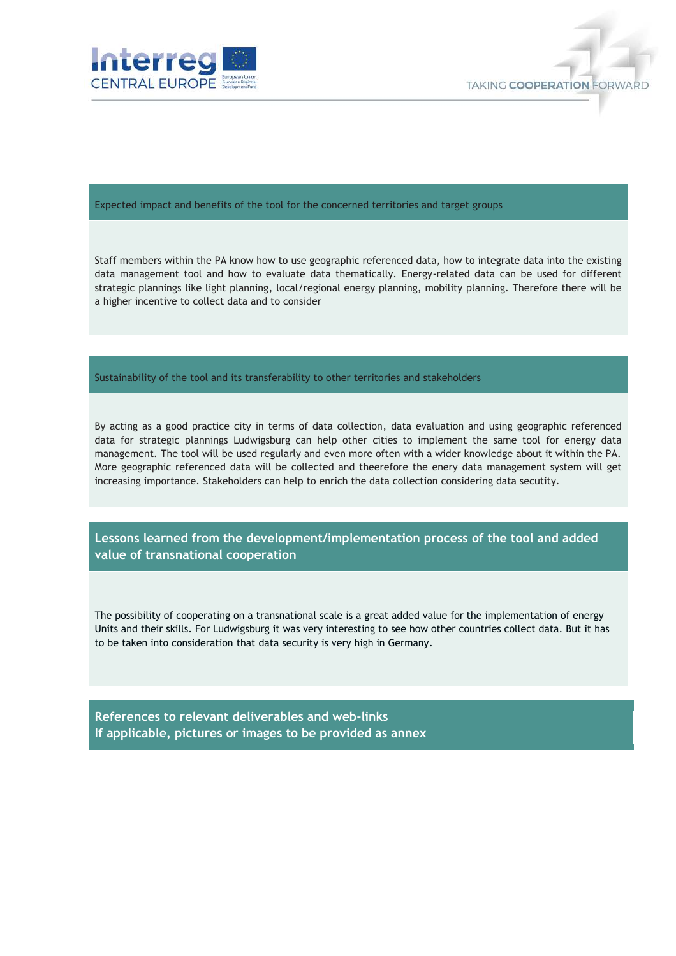



Expected impact and benefits of the tool for the concerned territories and target groups

Staff members within the PA know how to use geographic referenced data, how to integrate data into the existing data management tool and how to evaluate data thematically. Energy-related data can be used for different strategic plannings like light planning, local/regional energy planning, mobility planning. Therefore there will be a higher incentive to collect data and to consider

Sustainability of the tool and its transferability to other territories and stakeholders

By acting as a good practice city in terms of data collection, data evaluation and using geographic referenced data for strategic plannings Ludwigsburg can help other cities to implement the same tool for energy data management. The tool will be used regularly and even more often with a wider knowledge about it within the PA. More geographic referenced data will be collected and theerefore the enery data management system will get increasing importance. Stakeholders can help to enrich the data collection considering data secutity.

**Lessons learned from the development/implementation process of the tool and added value of transnational cooperation**

The possibility of cooperating on a transnational scale is a great added value for the implementation of energy Units and their skills. For Ludwigsburg it was very interesting to see how other countries collect data. But it has to be taken into consideration that data security is very high in Germany.

**References to relevant deliverables and web-links If applicable, pictures or images to be provided as annex**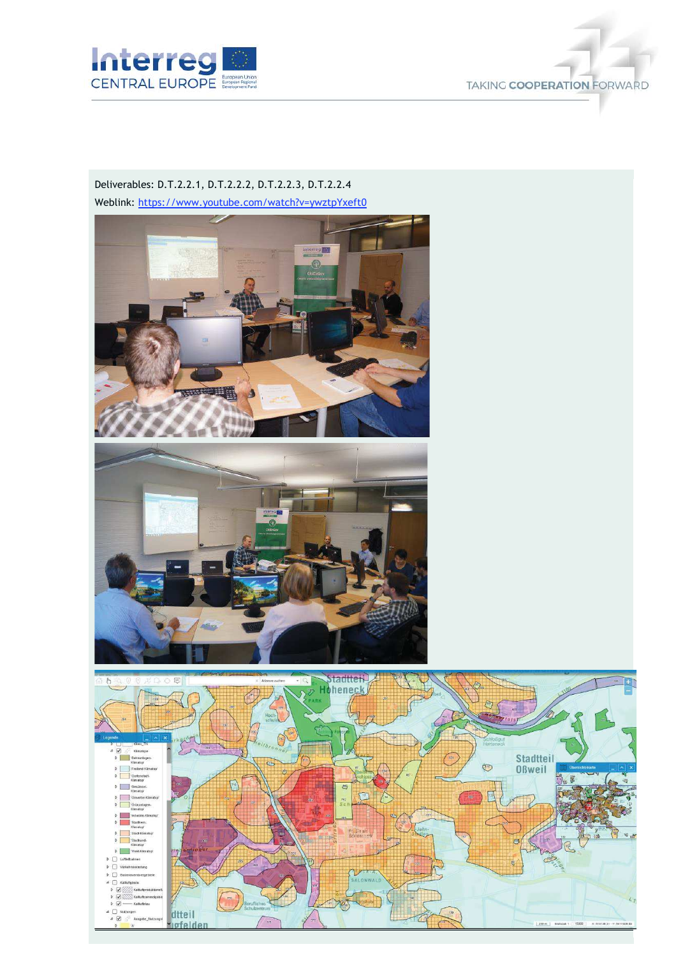



#### Deliverables: D.T.2.2.1, D.T.2.2.2, D.T.2.2.3, D.T.2.2.4 Weblink: https://www.youtube.com/watch?v=ywztpYxeft0



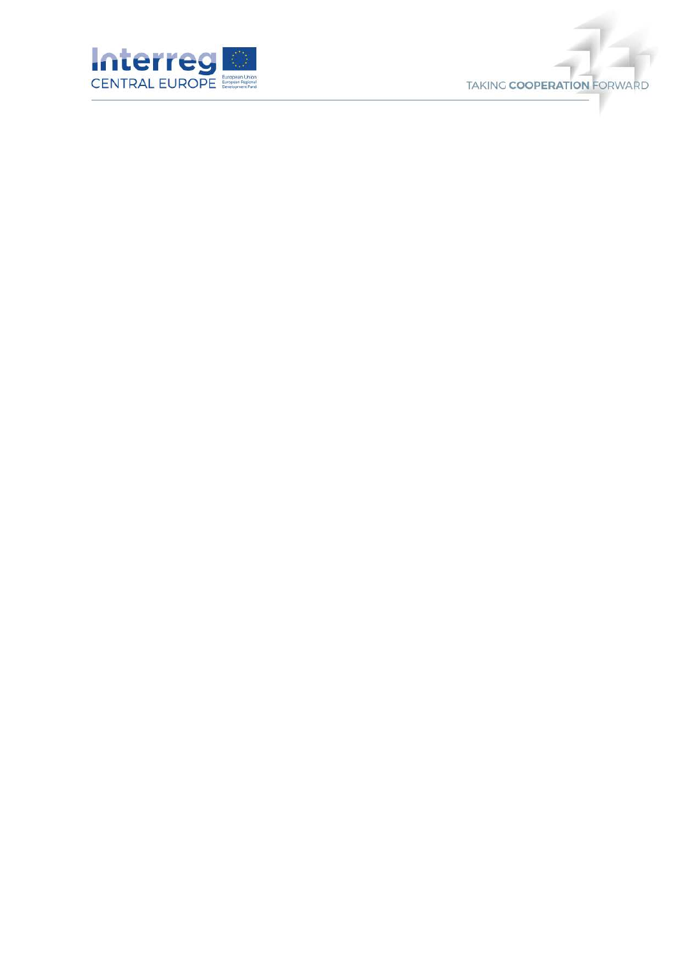

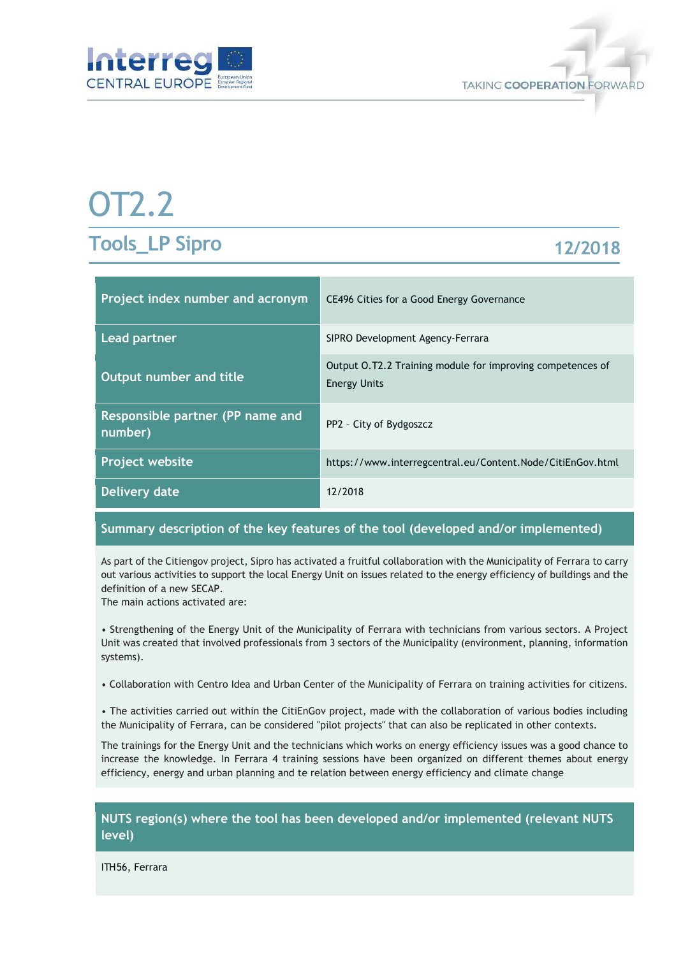



## OT2.2 **Tools\_LP Sipro**

### **12/2018**

| Project index number and acronym            | CE496 Cities for a Good Energy Governance                                         |
|---------------------------------------------|-----------------------------------------------------------------------------------|
| <b>Lead partner</b>                         | SIPRO Development Agency-Ferrara                                                  |
| Output number and title                     | Output 0.T2.2 Training module for improving competences of<br><b>Energy Units</b> |
| Responsible partner (PP name and<br>number) | PP2 - City of Bydgoszcz                                                           |
| <b>Project website</b>                      | https://www.interregcentral.eu/Content.Node/CitiEnGov.html                        |
| Delivery date                               | 12/2018                                                                           |

#### **Summary description of the key features of the tool (developed and/or implemented)**

As part of the Citiengov project, Sipro has activated a fruitful collaboration with the Municipality of Ferrara to carry out various activities to support the local Energy Unit on issues related to the energy efficiency of buildings and the definition of a new SECAP.

The main actions activated are:

• Strengthening of the Energy Unit of the Municipality of Ferrara with technicians from various sectors. A Project Unit was created that involved professionals from 3 sectors of the Municipality (environment, planning, information systems).

• Collaboration with Centro Idea and Urban Center of the Municipality of Ferrara on training activities for citizens.

• The activities carried out within the CitiEnGov project, made with the collaboration of various bodies including the Municipality of Ferrara, can be considered "pilot projects" that can also be replicated in other contexts.

The trainings for the Energy Unit and the technicians which works on energy efficiency issues was a good chance to increase the knowledge. In Ferrara 4 training sessions have been organized on different themes about energy efficiency, energy and urban planning and te relation between energy efficiency and climate change

#### **NUTS region(s) where the tool has been developed and/or implemented (relevant NUTS level)**

ITH56, Ferrara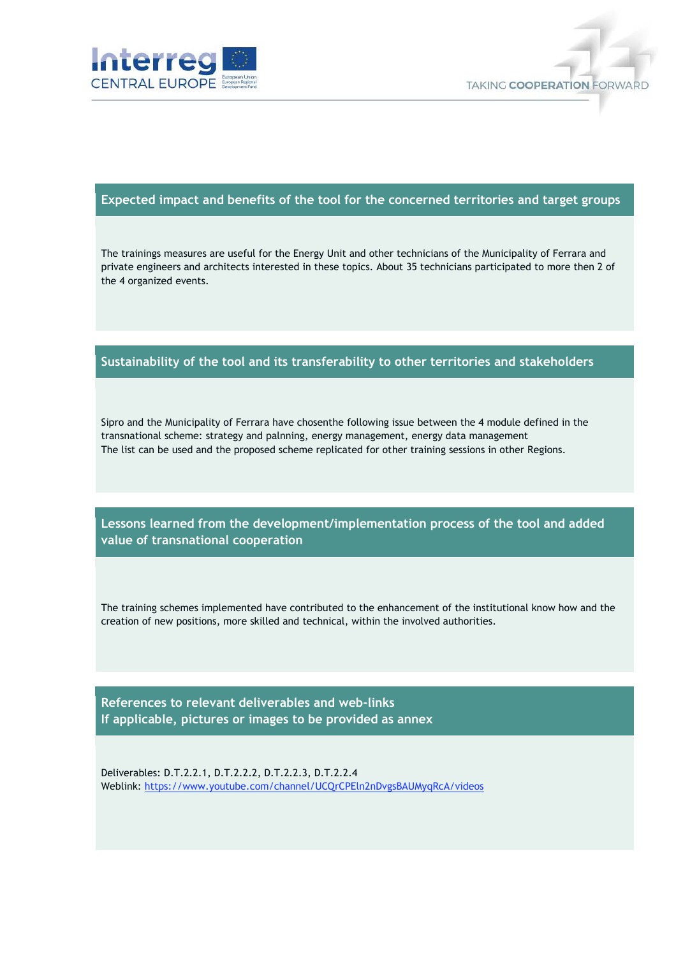



#### **Expected impact and benefits of the tool for the concerned territories and target groups**

The trainings measures are useful for the Energy Unit and other technicians of the Municipality of Ferrara and private engineers and architects interested in these topics. About 35 technicians participated to more then 2 of the 4 organized events.

#### **Sustainability of the tool and its transferability to other territories and stakeholders**

Sipro and the Municipality of Ferrara have chosenthe following issue between the 4 module defined in the transnational scheme: strategy and palnning, energy management, energy data management The list can be used and the proposed scheme replicated for other training sessions in other Regions.

**Lessons learned from the development/implementation process of the tool and added value of transnational cooperation**

The training schemes implemented have contributed to the enhancement of the institutional know how and the creation of new positions, more skilled and technical, within the involved authorities.

**References to relevant deliverables and web-links If applicable, pictures or images to be provided as annex**

Deliverables: D.T.2.2.1, D.T.2.2.2, D.T.2.2.3, D.T.2.2.4 Weblink: https://www.youtube.com/channel/UCQrCPEln2nDvgsBAUMyqRcA/videos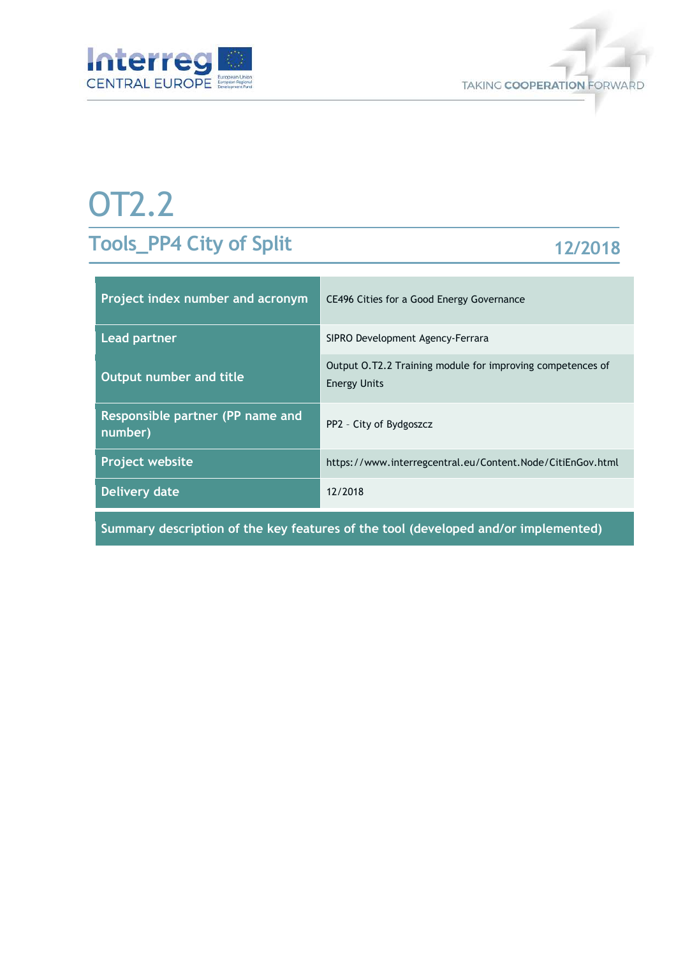



## OT2.2 **Tools\_PP4 City of Split**

### **12/2018**

| Project index number and acronym            | CE496 Cities for a Good Energy Governance                                         |
|---------------------------------------------|-----------------------------------------------------------------------------------|
| <b>Lead partner</b>                         | SIPRO Development Agency-Ferrara                                                  |
| Output number and title                     | Output 0.T2.2 Training module for improving competences of<br><b>Energy Units</b> |
| Responsible partner (PP name and<br>number) | PP2 - City of Bydgoszcz                                                           |
| <b>Project website</b>                      | https://www.interregcentral.eu/Content.Node/CitiEnGov.html                        |
| Delivery date                               | 12/2018                                                                           |
|                                             |                                                                                   |

**Summary description of the key features of the tool (developed and/or implemented)**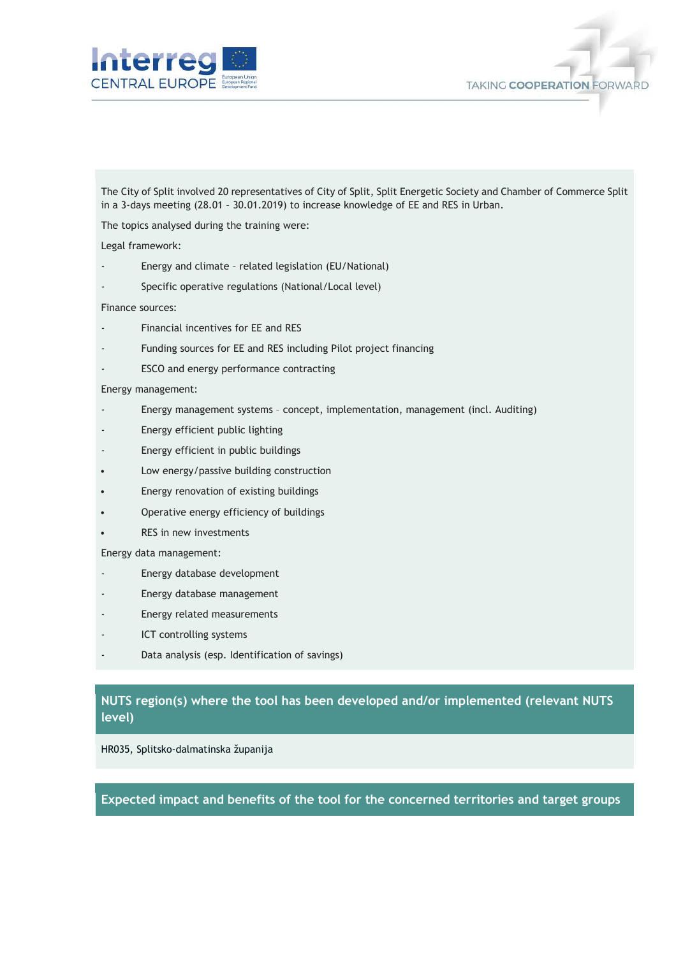



The City of Split involved 20 representatives of City of Split, Split Energetic Society and Chamber of Commerce Split in a 3-days meeting (28.01 – 30.01.2019) to increase knowledge of EE and RES in Urban.

The topics analysed during the training were:

Legal framework:

- Energy and climate related legislation (EU/National)
- Specific operative regulations (National/Local level)

Finance sources:

- Financial incentives for EE and RES
- Funding sources for EE and RES including Pilot project financing
- ESCO and energy performance contracting

#### Energy management:

- Energy management systems concept, implementation, management (incl. Auditing)
- Energy efficient public lighting
- Energy efficient in public buildings
- Low energy/passive building construction
- Energy renovation of existing buildings
- Operative energy efficiency of buildings
- RES in new investments

Energy data management:

- Energy database development
- Energy database management
- Energy related measurements
- ICT controlling systems
- Data analysis (esp. Identification of savings)

#### **NUTS region(s) where the tool has been developed and/or implemented (relevant NUTS level)**

HR035, Splitsko-dalmatinska županija

**Expected impact and benefits of the tool for the concerned territories and target groups**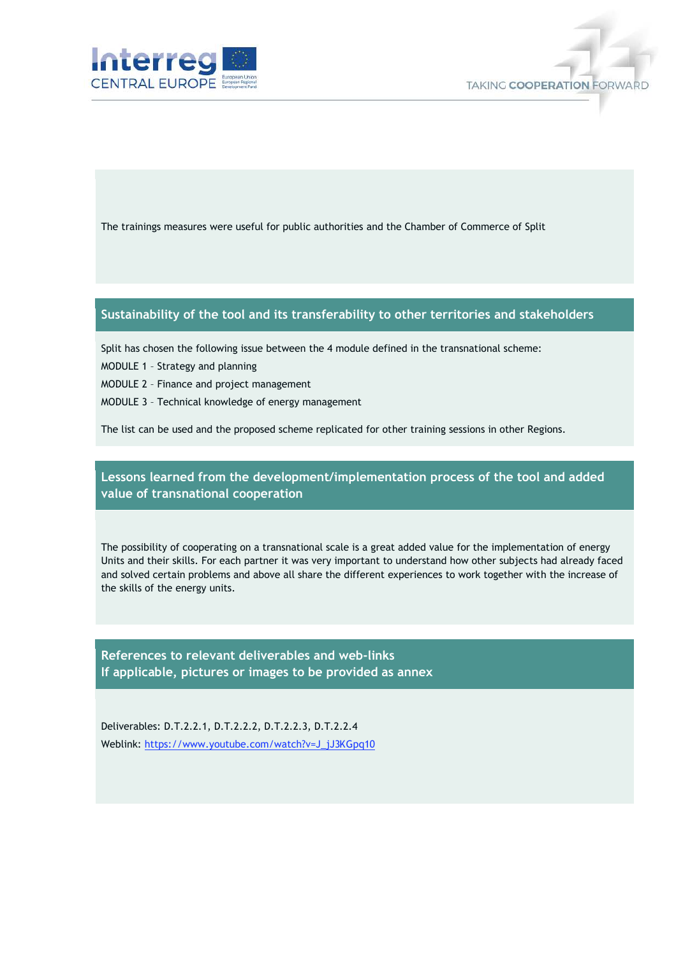



The trainings measures were useful for public authorities and the Chamber of Commerce of Split

#### **Sustainability of the tool and its transferability to other territories and stakeholders**

Split has chosen the following issue between the 4 module defined in the transnational scheme:

- MODULE 1 Strategy and planning
- MODULE 2 Finance and project management
- MODULE 3 Technical knowledge of energy management

The list can be used and the proposed scheme replicated for other training sessions in other Regions.

#### **Lessons learned from the development/implementation process of the tool and added value of transnational cooperation**

The possibility of cooperating on a transnational scale is a great added value for the implementation of energy Units and their skills. For each partner it was very important to understand how other subjects had already faced and solved certain problems and above all share the different experiences to work together with the increase of the skills of the energy units.

**References to relevant deliverables and web-links If applicable, pictures or images to be provided as annex**

Deliverables: D.T.2.2.1, D.T.2.2.2, D.T.2.2.3, D.T.2.2.4 Weblink: https://www.youtube.com/watch?v=J\_jJ3KGpq10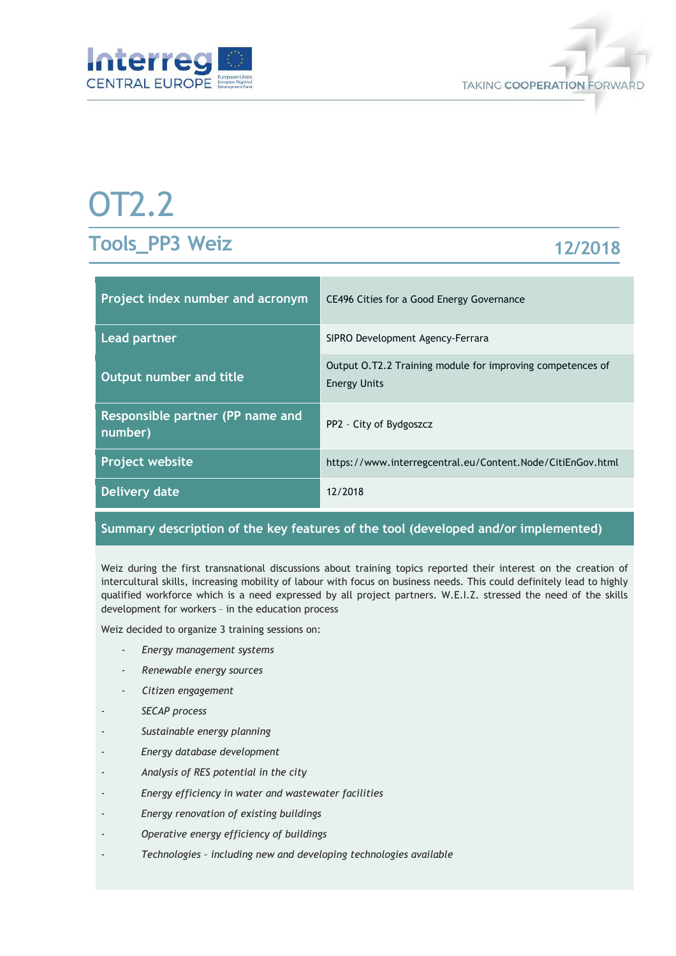



## OT2.2 **Tools\_PP3 Weiz**

### **12/2018**

| Project index number and acronym            | CE496 Cities for a Good Energy Governance                                         |
|---------------------------------------------|-----------------------------------------------------------------------------------|
| <b>Lead partner</b>                         | SIPRO Development Agency-Ferrara                                                  |
| Output number and title                     | Output 0.T2.2 Training module for improving competences of<br><b>Energy Units</b> |
| Responsible partner (PP name and<br>number) | PP2 - City of Bydgoszcz                                                           |
| <b>Project website</b>                      | https://www.interregcentral.eu/Content.Node/CitiEnGov.html                        |
| Delivery date                               | 12/2018                                                                           |

#### **Summary description of the key features of the tool (developed and/or implemented)**

Weiz during the first transnational discussions about training topics reported their interest on the creation of intercultural skills, increasing mobility of labour with focus on business needs. This could definitely lead to highly qualified workforce which is a need expressed by all project partners. W.E.I.Z. stressed the need of the skills development for workers – in the education process

Weiz decided to organize 3 training sessions on:

- *Energy management systems*
- *Renewable energy sources*
- *Citizen engagement*
- *SECAP process*
- *Sustainable energy planning*
- *Energy database development*
- *Analysis of RES potential in the city*
- *Energy efficiency in water and wastewater facilities*
- *Energy renovation of existing buildings*
- *Operative energy efficiency of buildings*
- *Technologies – including new and developing technologies available*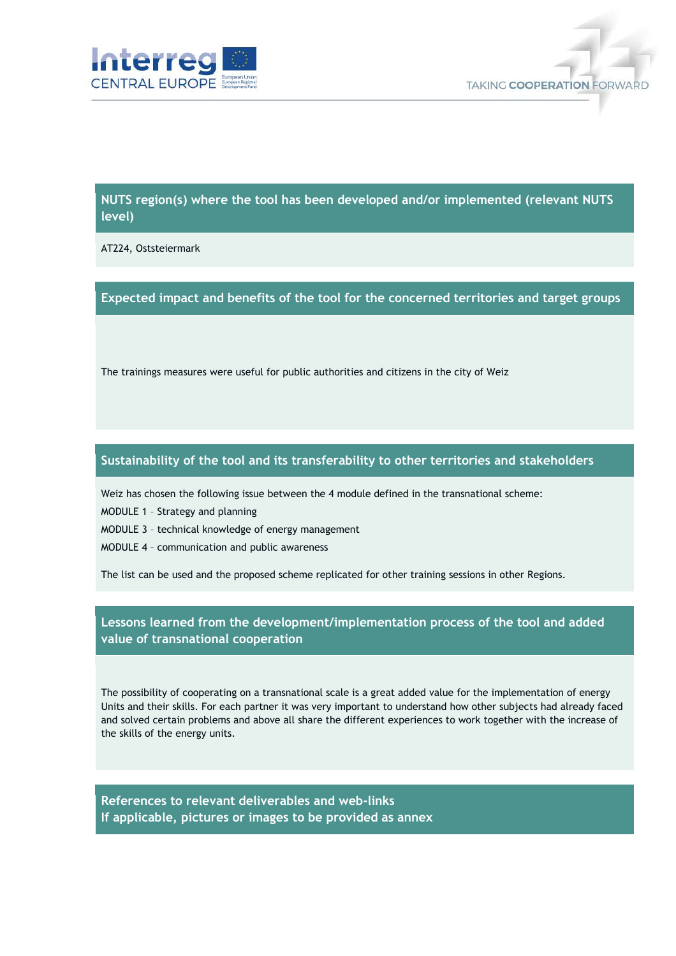



**NUTS region(s) where the tool has been developed and/or implemented (relevant NUTS level)**

AT224, Oststeiermark

**Expected impact and benefits of the tool for the concerned territories and target groups**

The trainings measures were useful for public authorities and citizens in the city of Weiz

#### **Sustainability of the tool and its transferability to other territories and stakeholders**

Weiz has chosen the following issue between the 4 module defined in the transnational scheme:

MODULE 1 – Strategy and planning

MODULE 3 – technical knowledge of energy management

MODULE 4 – communication and public awareness

The list can be used and the proposed scheme replicated for other training sessions in other Regions.

**Lessons learned from the development/implementation process of the tool and added value of transnational cooperation**

The possibility of cooperating on a transnational scale is a great added value for the implementation of energy Units and their skills. For each partner it was very important to understand how other subjects had already faced and solved certain problems and above all share the different experiences to work together with the increase of the skills of the energy units.

**References to relevant deliverables and web-links If applicable, pictures or images to be provided as annex**